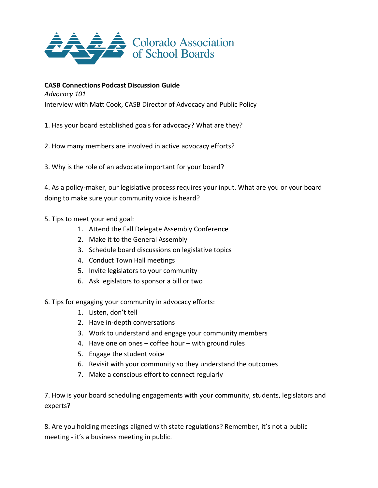

## **CASB Connections Podcast Discussion Guide**

*Advocacy 101*

Interview with Matt Cook, CASB Director of Advocacy and Public Policy

1. Has your board established goals for advocacy? What are they?

2. How many members are involved in active advocacy efforts?

3. Why is the role of an advocate important for your board?

4. As a policy-maker, our legislative process requires your input. What are you or your board doing to make sure your community voice is heard?

- 5. Tips to meet your end goal:
	- 1. Attend the Fall Delegate Assembly Conference
	- 2. Make it to the General Assembly
	- 3. Schedule board discussions on legislative topics
	- 4. Conduct Town Hall meetings
	- 5. Invite legislators to your community
	- 6. Ask legislators to sponsor a bill or two
- 6. Tips for engaging your community in advocacy efforts:
	- 1. Listen, don't tell
	- 2. Have in-depth conversations
	- 3. Work to understand and engage your community members
	- 4. Have one on ones coffee hour with ground rules
	- 5. Engage the student voice
	- 6. Revisit with your community so they understand the outcomes
	- 7. Make a conscious effort to connect regularly

7. How is your board scheduling engagements with your community, students, legislators and experts?

8. Are you holding meetings aligned with state regulations? Remember, it's not a public meeting - it's a business meeting in public.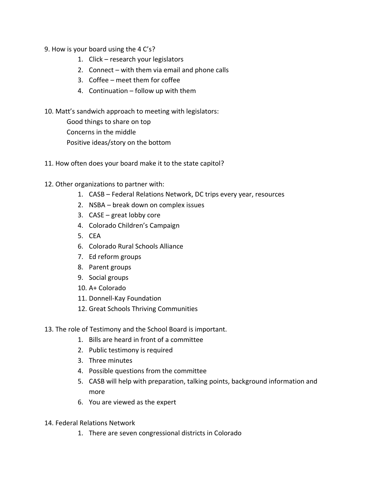- 9. How is your board using the 4 C's?
	- 1. Click research your legislators
	- 2. Connect with them via email and phone calls
	- 3. Coffee meet them for coffee
	- 4. Continuation follow up with them
- 10. Matt's sandwich approach to meeting with legislators:

Good things to share on top Concerns in the middle Positive ideas/story on the bottom

11. How often does your board make it to the state capitol?

## 12. Other organizations to partner with:

- 1. CASB Federal Relations Network, DC trips every year, resources
- 2. NSBA break down on complex issues
- 3. CASE great lobby core
- 4. Colorado Children's Campaign
- 5. CEA
- 6. Colorado Rural Schools Alliance
- 7. Ed reform groups
- 8. Parent groups
- 9. Social groups
- 10. A+ Colorado
- 11. Donnell-Kay Foundation
- 12. Great Schools Thriving Communities
- 13. The role of Testimony and the School Board is important.
	- 1. Bills are heard in front of a committee
	- 2. Public testimony is required
	- 3. Three minutes
	- 4. Possible questions from the committee
	- 5. CASB will help with preparation, talking points, background information and more
	- 6. You are viewed as the expert
- 14. Federal Relations Network
	- 1. There are seven congressional districts in Colorado